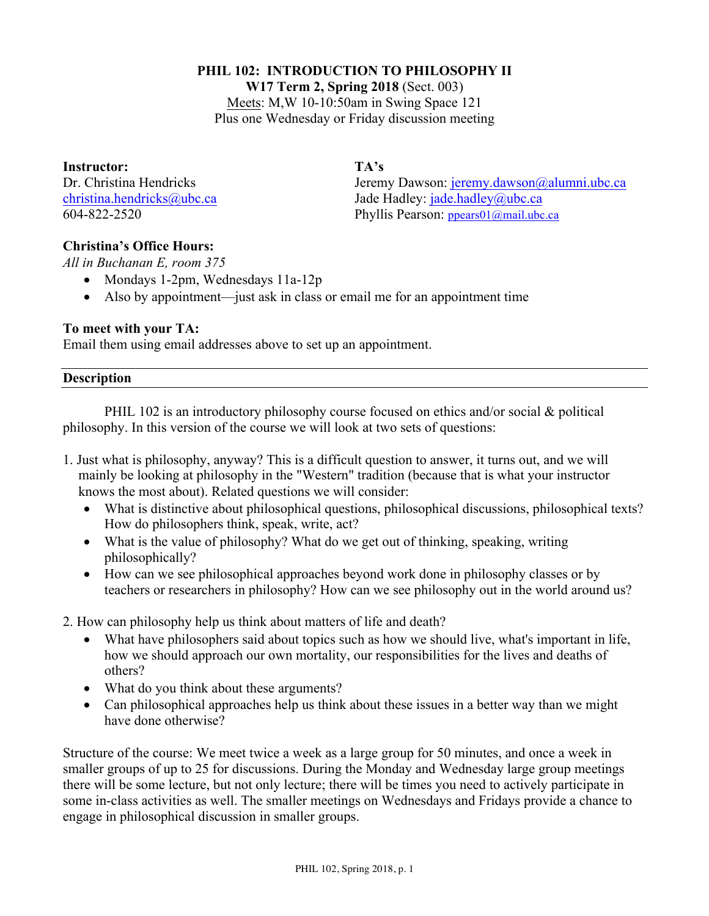## **PHIL 102: INTRODUCTION TO PHILOSOPHY II**

**W17 Term 2, Spring 2018** (Sect. 003)

Meets: M,W 10-10:50am in Swing Space 121 Plus one Wednesday or Friday discussion meeting

**Instructor: TA's**

Dr. Christina Hendricks Jeremy Dawson: jeremy.dawson@alumni.ubc.ca christina.hendricks@ubc.ca Jade Hadley: jade.hadley@ubc.ca 604-822-2520 Phyllis Pearson: ppears01@mail.ubc.ca

# **Christina's Office Hours:**

*All in Buchanan E, room 375*

- Mondays 1-2pm, Wednesdays 11a-12p
- Also by appointment—just ask in class or email me for an appointment time

# **To meet with your TA:**

Email them using email addresses above to set up an appointment.

## **Description**

PHIL 102 is an introductory philosophy course focused on ethics and/or social & political philosophy. In this version of the course we will look at two sets of questions:

- 1. Just what is philosophy, anyway? This is a difficult question to answer, it turns out, and we will mainly be looking at philosophy in the "Western" tradition (because that is what your instructor knows the most about). Related questions we will consider:
	- What is distinctive about philosophical questions, philosophical discussions, philosophical texts? How do philosophers think, speak, write, act?
	- What is the value of philosophy? What do we get out of thinking, speaking, writing philosophically?
	- How can we see philosophical approaches beyond work done in philosophy classes or by teachers or researchers in philosophy? How can we see philosophy out in the world around us?
- 2. How can philosophy help us think about matters of life and death?
	- What have philosophers said about topics such as how we should live, what's important in life, how we should approach our own mortality, our responsibilities for the lives and deaths of others?
	- What do you think about these arguments?
	- Can philosophical approaches help us think about these issues in a better way than we might have done otherwise?

Structure of the course: We meet twice a week as a large group for 50 minutes, and once a week in smaller groups of up to 25 for discussions. During the Monday and Wednesday large group meetings there will be some lecture, but not only lecture; there will be times you need to actively participate in some in-class activities as well. The smaller meetings on Wednesdays and Fridays provide a chance to engage in philosophical discussion in smaller groups.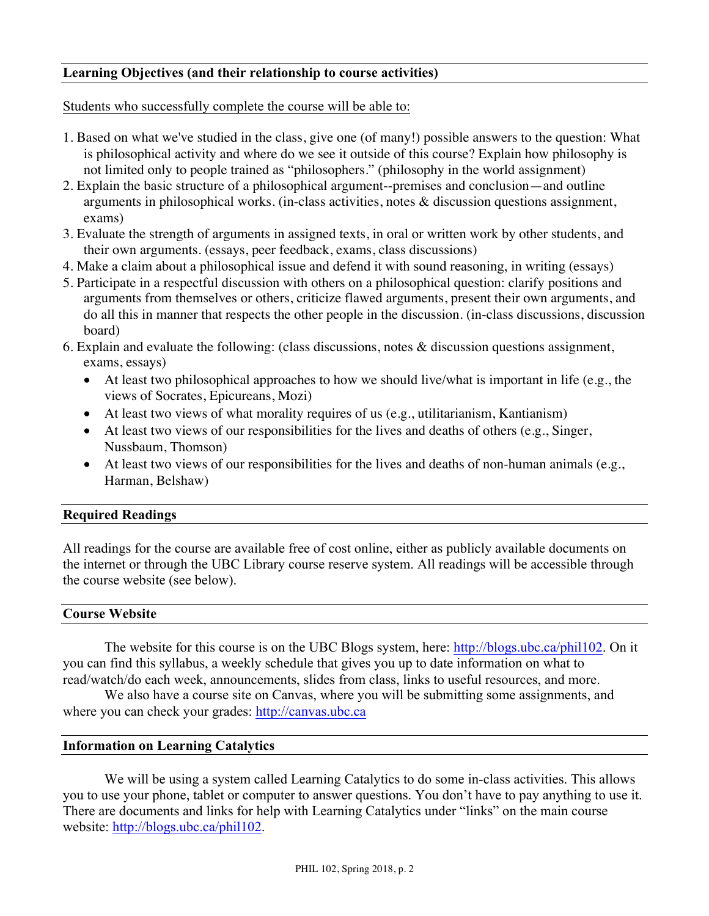## **Learning Objectives (and their relationship to course activities)**

Students who successfully complete the course will be able to:

- 1. Based on what we've studied in the class, give one (of many!) possible answers to the question: What is philosophical activity and where do we see it outside of this course? Explain how philosophy is not limited only to people trained as "philosophers." (philosophy in the world assignment)
- 2. Explain the basic structure of a philosophical argument--premises and conclusion—and outline arguments in philosophical works. (in-class activities, notes & discussion questions assignment, exams)
- 3. Evaluate the strength of arguments in assigned texts, in oral or written work by other students, and their own arguments. (essays, peer feedback, exams, class discussions)
- 4. Make a claim about a philosophical issue and defend it with sound reasoning, in writing (essays)
- 5. Participate in a respectful discussion with others on a philosophical question: clarify positions and arguments from themselves or others, criticize flawed arguments, present their own arguments, and do all this in manner that respects the other people in the discussion. (in-class discussions, discussion board)
- 6. Explain and evaluate the following: (class discussions, notes  $\&$  discussion questions assignment, exams, essays)
	- At least two philosophical approaches to how we should live/what is important in life (e.g., the views of Socrates, Epicureans, Mozi)
	- At least two views of what morality requires of us (e.g., utilitarianism, Kantianism)
	- At least two views of our responsibilities for the lives and deaths of others (e.g., Singer, Nussbaum, Thomson)
	- At least two views of our responsibilities for the lives and deaths of non-human animals (e.g., Harman, Belshaw)

### **Required Readings**

All readings for the course are available free of cost online, either as publicly available documents on the internet or through the UBC Library course reserve system. All readings will be accessible through the course website (see below).

### **Course Website**

The website for this course is on the UBC Blogs system, here: http://blogs.ubc.ca/phil102. On it you can find this syllabus, a weekly schedule that gives you up to date information on what to read/watch/do each week, announcements, slides from class, links to useful resources, and more.

We also have a course site on Canvas, where you will be submitting some assignments, and where you can check your grades: http://canvas.ubc.ca

### **Information on Learning Catalytics**

We will be using a system called Learning Catalytics to do some in-class activities. This allows you to use your phone, tablet or computer to answer questions. You don't have to pay anything to use it. There are documents and links for help with Learning Catalytics under "links" on the main course website: http://blogs.ubc.ca/phil102.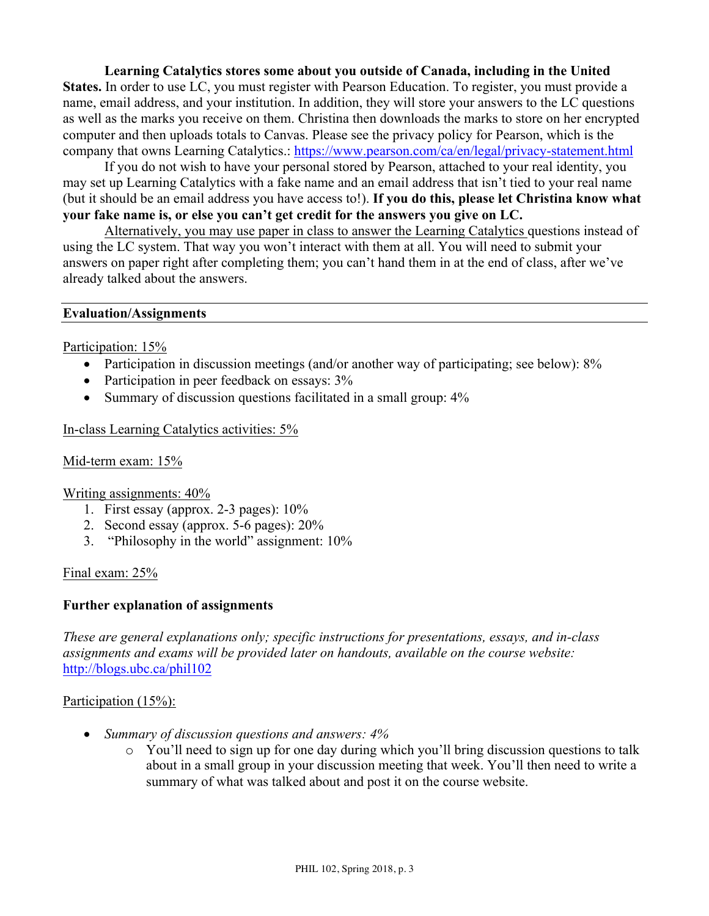**Learning Catalytics stores some about you outside of Canada, including in the United States.** In order to use LC, you must register with Pearson Education. To register, you must provide a name, email address, and your institution. In addition, they will store your answers to the LC questions as well as the marks you receive on them. Christina then downloads the marks to store on her encrypted computer and then uploads totals to Canvas. Please see the privacy policy for Pearson, which is the company that owns Learning Catalytics.: https://www.pearson.com/ca/en/legal/privacy-statement.html

If you do not wish to have your personal stored by Pearson, attached to your real identity, you may set up Learning Catalytics with a fake name and an email address that isn't tied to your real name (but it should be an email address you have access to!). **If you do this, please let Christina know what your fake name is, or else you can't get credit for the answers you give on LC.**

Alternatively, you may use paper in class to answer the Learning Catalytics questions instead of using the LC system. That way you won't interact with them at all. You will need to submit your answers on paper right after completing them; you can't hand them in at the end of class, after we've already talked about the answers.

#### **Evaluation/Assignments**

Participation: 15%

- Participation in discussion meetings (and/or another way of participating; see below): 8%
- Participation in peer feedback on essays:  $3\%$
- Summary of discussion questions facilitated in a small group:  $4\%$

In-class Learning Catalytics activities: 5%

#### Mid-term exam: 15%

Writing assignments: 40%

- 1. First essay (approx. 2-3 pages): 10%
- 2. Second essay (approx. 5-6 pages): 20%
- 3. "Philosophy in the world" assignment: 10%

Final exam: 25%

#### **Further explanation of assignments**

*These are general explanations only; specific instructions for presentations, essays, and in-class assignments and exams will be provided later on handouts, available on the course website:* http://blogs.ubc.ca/phil102

#### Participation (15%):

- *Summary of discussion questions and answers: 4%*
	- o You'll need to sign up for one day during which you'll bring discussion questions to talk about in a small group in your discussion meeting that week. You'll then need to write a summary of what was talked about and post it on the course website.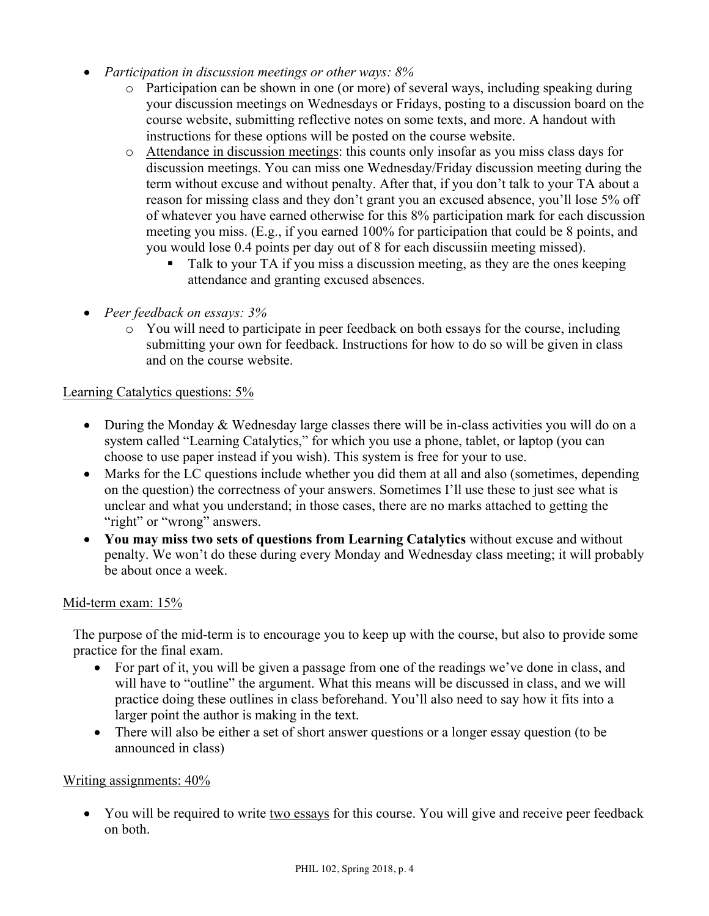- *Participation in discussion meetings or other ways: 8%* 
	- o Participation can be shown in one (or more) of several ways, including speaking during your discussion meetings on Wednesdays or Fridays, posting to a discussion board on the course website, submitting reflective notes on some texts, and more. A handout with instructions for these options will be posted on the course website.
	- o Attendance in discussion meetings: this counts only insofar as you miss class days for discussion meetings. You can miss one Wednesday/Friday discussion meeting during the term without excuse and without penalty. After that, if you don't talk to your TA about a reason for missing class and they don't grant you an excused absence, you'll lose 5% off of whatever you have earned otherwise for this 8% participation mark for each discussion meeting you miss. (E.g., if you earned 100% for participation that could be 8 points, and you would lose 0.4 points per day out of 8 for each discussiin meeting missed).
		- Talk to your TA if you miss a discussion meeting, as they are the ones keeping attendance and granting excused absences.
- *Peer feedback on essays: 3%*
	- o You will need to participate in peer feedback on both essays for the course, including submitting your own for feedback. Instructions for how to do so will be given in class and on the course website.

# Learning Catalytics questions: 5%

- During the Monday & Wednesday large classes there will be in-class activities you will do on a system called "Learning Catalytics," for which you use a phone, tablet, or laptop (you can choose to use paper instead if you wish). This system is free for your to use.
- Marks for the LC questions include whether you did them at all and also (sometimes, depending on the question) the correctness of your answers. Sometimes I'll use these to just see what is unclear and what you understand; in those cases, there are no marks attached to getting the "right" or "wrong" answers.
- **You may miss two sets of questions from Learning Catalytics** without excuse and without penalty. We won't do these during every Monday and Wednesday class meeting; it will probably be about once a week.

### Mid-term exam: 15%

The purpose of the mid-term is to encourage you to keep up with the course, but also to provide some practice for the final exam.

- For part of it, you will be given a passage from one of the readings we've done in class, and will have to "outline" the argument. What this means will be discussed in class, and we will practice doing these outlines in class beforehand. You'll also need to say how it fits into a larger point the author is making in the text.
- There will also be either a set of short answer questions or a longer essay question (to be announced in class)

### Writing assignments: 40%

• You will be required to write two essays for this course. You will give and receive peer feedback on both.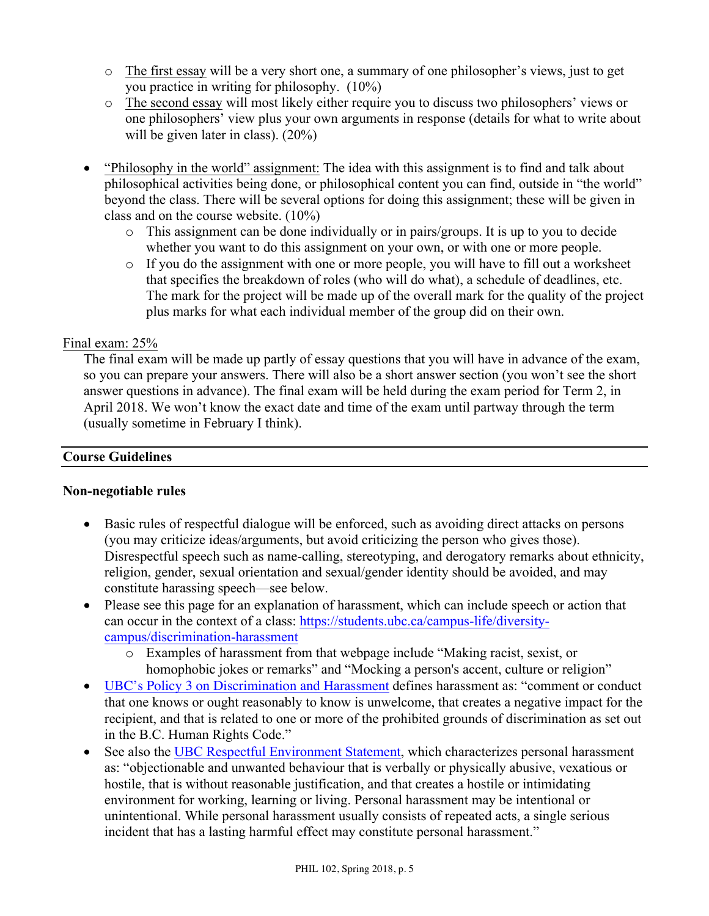- o The first essay will be a very short one, a summary of one philosopher's views, just to get you practice in writing for philosophy. (10%)
- o The second essay will most likely either require you to discuss two philosophers' views or one philosophers' view plus your own arguments in response (details for what to write about will be given later in class).  $(20\%)$
- "Philosophy in the world" assignment: The idea with this assignment is to find and talk about philosophical activities being done, or philosophical content you can find, outside in "the world" beyond the class. There will be several options for doing this assignment; these will be given in class and on the course website. (10%)
	- o This assignment can be done individually or in pairs/groups. It is up to you to decide whether you want to do this assignment on your own, or with one or more people.
	- o If you do the assignment with one or more people, you will have to fill out a worksheet that specifies the breakdown of roles (who will do what), a schedule of deadlines, etc. The mark for the project will be made up of the overall mark for the quality of the project plus marks for what each individual member of the group did on their own.

# Final exam: 25%

The final exam will be made up partly of essay questions that you will have in advance of the exam, so you can prepare your answers. There will also be a short answer section (you won't see the short answer questions in advance). The final exam will be held during the exam period for Term 2, in April 2018. We won't know the exact date and time of the exam until partway through the term (usually sometime in February I think).

### **Course Guidelines**

### **Non-negotiable rules**

- Basic rules of respectful dialogue will be enforced, such as avoiding direct attacks on persons (you may criticize ideas/arguments, but avoid criticizing the person who gives those). Disrespectful speech such as name-calling, stereotyping, and derogatory remarks about ethnicity, religion, gender, sexual orientation and sexual/gender identity should be avoided, and may constitute harassing speech—see below.
- Please see this page for an explanation of harassment, which can include speech or action that can occur in the context of a class: https://students.ubc.ca/campus-life/diversitycampus/discrimination-harassment
	- o Examples of harassment from that webpage include "Making racist, sexist, or homophobic jokes or remarks" and "Mocking a person's accent, culture or religion"
- UBC's Policy 3 on Discrimination and Harassment defines harassment as: "comment or conduct that one knows or ought reasonably to know is unwelcome, that creates a negative impact for the recipient, and that is related to one or more of the prohibited grounds of discrimination as set out in the B.C. Human Rights Code."
- See also the UBC Respectful Environment Statement, which characterizes personal harassment as: "objectionable and unwanted behaviour that is verbally or physically abusive, vexatious or hostile, that is without reasonable justification, and that creates a hostile or intimidating environment for working, learning or living. Personal harassment may be intentional or unintentional. While personal harassment usually consists of repeated acts, a single serious incident that has a lasting harmful effect may constitute personal harassment."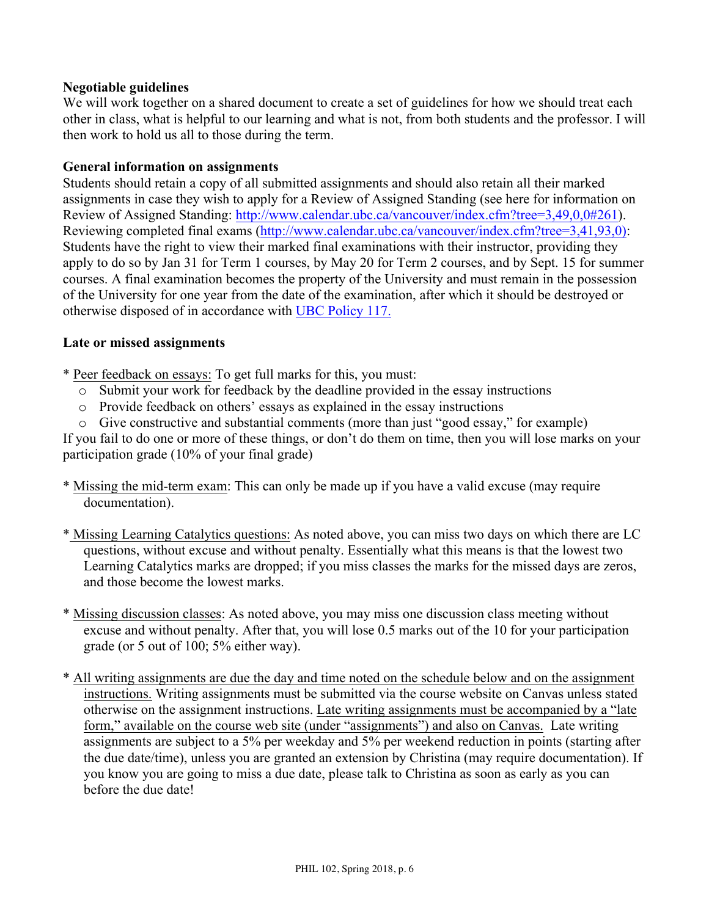## **Negotiable guidelines**

We will work together on a shared document to create a set of guidelines for how we should treat each other in class, what is helpful to our learning and what is not, from both students and the professor. I will then work to hold us all to those during the term.

### **General information on assignments**

Students should retain a copy of all submitted assignments and should also retain all their marked assignments in case they wish to apply for a Review of Assigned Standing (see here for information on Review of Assigned Standing: http://www.calendar.ubc.ca/vancouver/index.cfm?tree=3,49,0,0#261). Reviewing completed final exams (http://www.calendar.ubc.ca/vancouver/index.cfm?tree=3,41,93,0): Students have the right to view their marked final examinations with their instructor, providing they apply to do so by Jan 31 for Term 1 courses, by May 20 for Term 2 courses, and by Sept. 15 for summer courses. A final examination becomes the property of the University and must remain in the possession of the University for one year from the date of the examination, after which it should be destroyed or otherwise disposed of in accordance with UBC Policy 117.

## **Late or missed assignments**

\* Peer feedback on essays: To get full marks for this, you must:

- o Submit your work for feedback by the deadline provided in the essay instructions
- o Provide feedback on others' essays as explained in the essay instructions
- o Give constructive and substantial comments (more than just "good essay," for example)

If you fail to do one or more of these things, or don't do them on time, then you will lose marks on your participation grade (10% of your final grade)

- \* Missing the mid-term exam: This can only be made up if you have a valid excuse (may require documentation).
- \* Missing Learning Catalytics questions: As noted above, you can miss two days on which there are LC questions, without excuse and without penalty. Essentially what this means is that the lowest two Learning Catalytics marks are dropped; if you miss classes the marks for the missed days are zeros, and those become the lowest marks.
- \* Missing discussion classes: As noted above, you may miss one discussion class meeting without excuse and without penalty. After that, you will lose 0.5 marks out of the 10 for your participation grade (or 5 out of 100; 5% either way).
- \* All writing assignments are due the day and time noted on the schedule below and on the assignment instructions. Writing assignments must be submitted via the course website on Canvas unless stated otherwise on the assignment instructions. Late writing assignments must be accompanied by a "late form," available on the course web site (under "assignments") and also on Canvas. Late writing assignments are subject to a 5% per weekday and 5% per weekend reduction in points (starting after the due date/time), unless you are granted an extension by Christina (may require documentation). If you know you are going to miss a due date, please talk to Christina as soon as early as you can before the due date!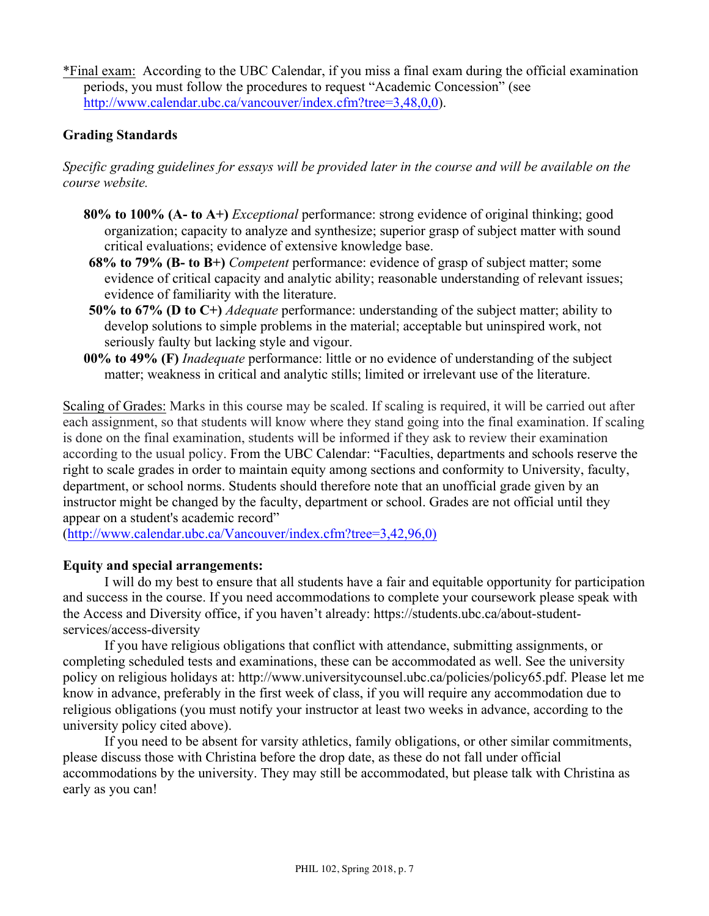\*Final exam: According to the UBC Calendar, if you miss a final exam during the official examination periods, you must follow the procedures to request "Academic Concession" (see http://www.calendar.ubc.ca/vancouver/index.cfm?tree=3,48,0,0).

# **Grading Standards**

*Specific grading guidelines for essays will be provided later in the course and will be available on the course website.*

- **80% to 100% (A- to A+)** *Exceptional* performance: strong evidence of original thinking; good organization; capacity to analyze and synthesize; superior grasp of subject matter with sound critical evaluations; evidence of extensive knowledge base.
- **68% to 79% (B- to B+)** *Competent* performance: evidence of grasp of subject matter; some evidence of critical capacity and analytic ability; reasonable understanding of relevant issues; evidence of familiarity with the literature.
- **50% to 67% (D to C+)** *Adequate* performance: understanding of the subject matter; ability to develop solutions to simple problems in the material; acceptable but uninspired work, not seriously faulty but lacking style and vigour.
- **00% to 49% (F)** *Inadequate* performance: little or no evidence of understanding of the subject matter; weakness in critical and analytic stills; limited or irrelevant use of the literature.

Scaling of Grades: Marks in this course may be scaled. If scaling is required, it will be carried out after each assignment, so that students will know where they stand going into the final examination. If scaling is done on the final examination, students will be informed if they ask to review their examination according to the usual policy. From the UBC Calendar: "Faculties, departments and schools reserve the right to scale grades in order to maintain equity among sections and conformity to University, faculty, department, or school norms. Students should therefore note that an unofficial grade given by an instructor might be changed by the faculty, department or school. Grades are not official until they appear on a student's academic record"

(http://www.calendar.ubc.ca/Vancouver/index.cfm?tree=3,42,96,0)

# **Equity and special arrangements:**

I will do my best to ensure that all students have a fair and equitable opportunity for participation and success in the course. If you need accommodations to complete your coursework please speak with the Access and Diversity office, if you haven't already: https://students.ubc.ca/about-studentservices/access-diversity

If you have religious obligations that conflict with attendance, submitting assignments, or completing scheduled tests and examinations, these can be accommodated as well. See the university policy on religious holidays at: http://www.universitycounsel.ubc.ca/policies/policy65.pdf. Please let me know in advance, preferably in the first week of class, if you will require any accommodation due to religious obligations (you must notify your instructor at least two weeks in advance, according to the university policy cited above).

If you need to be absent for varsity athletics, family obligations, or other similar commitments, please discuss those with Christina before the drop date, as these do not fall under official accommodations by the university. They may still be accommodated, but please talk with Christina as early as you can!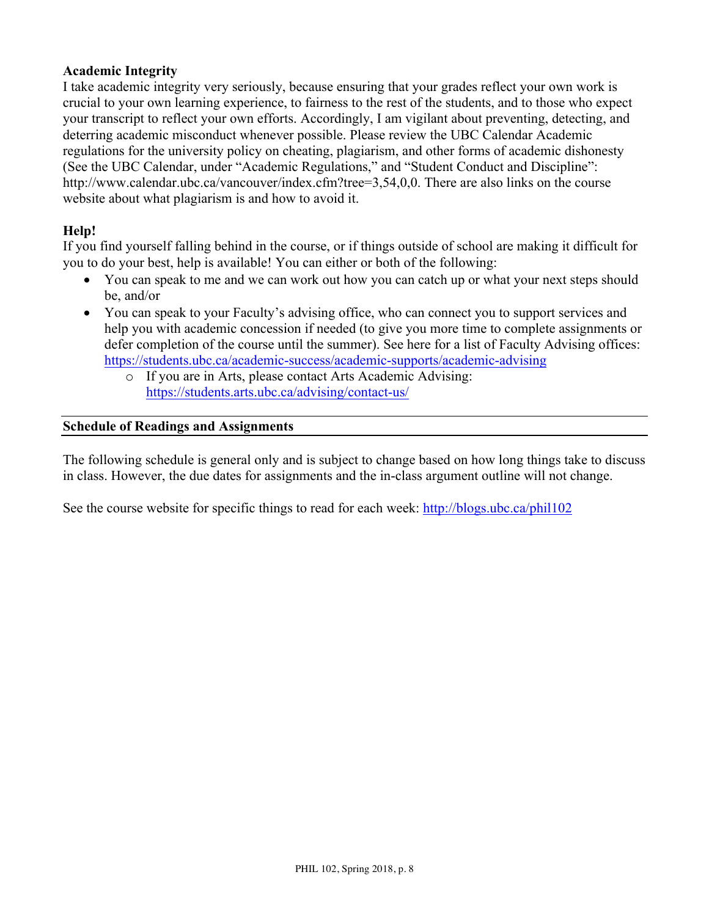# **Academic Integrity**

I take academic integrity very seriously, because ensuring that your grades reflect your own work is crucial to your own learning experience, to fairness to the rest of the students, and to those who expect your transcript to reflect your own efforts. Accordingly, I am vigilant about preventing, detecting, and deterring academic misconduct whenever possible. Please review the UBC Calendar Academic regulations for the university policy on cheating, plagiarism, and other forms of academic dishonesty (See the UBC Calendar, under "Academic Regulations," and "Student Conduct and Discipline": http://www.calendar.ubc.ca/vancouver/index.cfm?tree=3,54,0,0. There are also links on the course website about what plagiarism is and how to avoid it.

## **Help!**

If you find yourself falling behind in the course, or if things outside of school are making it difficult for you to do your best, help is available! You can either or both of the following:

- You can speak to me and we can work out how you can catch up or what your next steps should be, and/or
- You can speak to your Faculty's advising office, who can connect you to support services and help you with academic concession if needed (to give you more time to complete assignments or defer completion of the course until the summer). See here for a list of Faculty Advising offices: https://students.ubc.ca/academic-success/academic-supports/academic-advising
	- o If you are in Arts, please contact Arts Academic Advising: https://students.arts.ubc.ca/advising/contact-us/

#### **Schedule of Readings and Assignments**

The following schedule is general only and is subject to change based on how long things take to discuss in class. However, the due dates for assignments and the in-class argument outline will not change.

See the course website for specific things to read for each week: http://blogs.ubc.ca/phil102